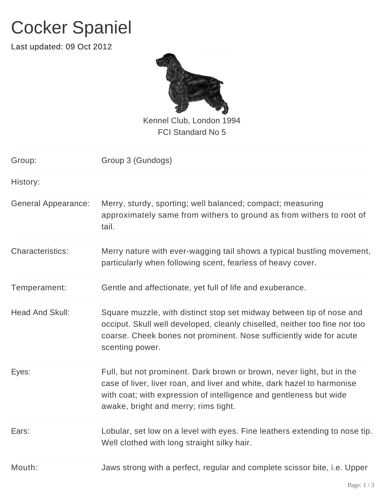## Cocker Spaniel

Last updated: 09 Oct 2012



Kennel Club, London 1994 FCI Standard No 5

| Group:                     | Group 3 (Gundogs)                                                                                                                                                                                                                                              |
|----------------------------|----------------------------------------------------------------------------------------------------------------------------------------------------------------------------------------------------------------------------------------------------------------|
| History:                   |                                                                                                                                                                                                                                                                |
| <b>General Appearance:</b> | Merry, sturdy, sporting; well balanced; compact; measuring<br>approximately same from withers to ground as from withers to root of<br>tail.                                                                                                                    |
| Characteristics:           | Merry nature with ever-wagging tail shows a typical bustling movement,<br>particularly when following scent, fearless of heavy cover.                                                                                                                          |
| Temperament:               | Gentle and affectionate, yet full of life and exuberance.                                                                                                                                                                                                      |
| <b>Head And Skull:</b>     | Square muzzle, with distinct stop set midway between tip of nose and<br>occiput. Skull well developed, cleanly chiselled, neither too fine nor too<br>coarse. Cheek bones not prominent. Nose sufficiently wide for acute<br>scenting power.                   |
| Eyes:                      | Full, but not prominent. Dark brown or brown, never light, but in the<br>case of liver, liver roan, and liver and white, dark hazel to harmonise<br>with coat; with expression of intelligence and gentleness but wide<br>awake, bright and merry; rims tight. |
| Ears:                      | Lobular, set low on a level with eyes. Fine leathers extending to nose tip.<br>Well clothed with long straight silky hair.                                                                                                                                     |
| Mouth:                     | Jaws strong with a perfect, regular and complete scissor bite, i.e. Upper                                                                                                                                                                                      |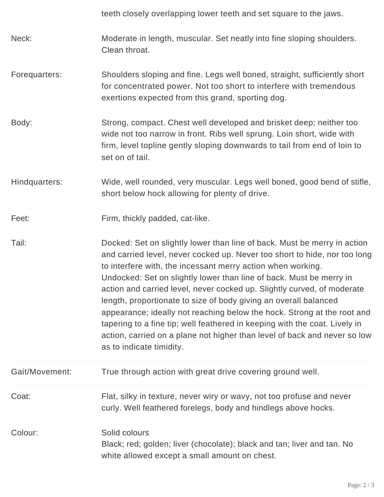|                | teeth closely overlapping lower teeth and set square to the jaws.                                                                                                                                                                                                                                                                                                                                                                                                                                                                                                                                                                                                                                            |
|----------------|--------------------------------------------------------------------------------------------------------------------------------------------------------------------------------------------------------------------------------------------------------------------------------------------------------------------------------------------------------------------------------------------------------------------------------------------------------------------------------------------------------------------------------------------------------------------------------------------------------------------------------------------------------------------------------------------------------------|
| Neck:          | Moderate in length, muscular. Set neatly into fine sloping shoulders.<br>Clean throat.                                                                                                                                                                                                                                                                                                                                                                                                                                                                                                                                                                                                                       |
| Forequarters:  | Shoulders sloping and fine. Legs well boned, straight, sufficiently short<br>for concentrated power. Not too short to interfere with tremendous<br>exertions expected from this grand, sporting dog.                                                                                                                                                                                                                                                                                                                                                                                                                                                                                                         |
| Body:          | Strong, compact. Chest well developed and brisket deep; neither too<br>wide not too narrow in front. Ribs well sprung. Loin short, wide with<br>firm, level topline gently sloping downwards to tail from end of loin to<br>set on of tail.                                                                                                                                                                                                                                                                                                                                                                                                                                                                  |
| Hindquarters:  | Wide, well rounded, very muscular. Legs well boned, good bend of stifle,<br>short below hock allowing for plenty of drive.                                                                                                                                                                                                                                                                                                                                                                                                                                                                                                                                                                                   |
| Feet:          | Firm, thickly padded, cat-like.                                                                                                                                                                                                                                                                                                                                                                                                                                                                                                                                                                                                                                                                              |
| Tail:          | Docked: Set on slightly lower than line of back. Must be merry in action<br>and carried level, never cocked up. Never too short to hide, nor too long<br>to interfere with, the incessant merry action when working.<br>Undocked: Set on slightly lower than line of back. Must be merry in<br>action and carried level, never cocked up. Slightly curved, of moderate<br>length, proportionate to size of body giving an overall balanced<br>appearance; ideally not reaching below the hock. Strong at the root and<br>tapering to a fine tip; well feathered in keeping with the coat. Lively in<br>action, carried on a plane not higher than level of back and never so low<br>as to indicate timidity. |
| Gait/Movement: | True through action with great drive covering ground well.                                                                                                                                                                                                                                                                                                                                                                                                                                                                                                                                                                                                                                                   |
| Coat:          | Flat, silky in texture, never wiry or wavy, not too profuse and never<br>curly. Well feathered forelegs, body and hindlegs above hocks.                                                                                                                                                                                                                                                                                                                                                                                                                                                                                                                                                                      |
| Colour:        | Solid colours<br>Black; red; golden; liver (chocolate); black and tan; liver and tan. No<br>white allowed except a small amount on chest.                                                                                                                                                                                                                                                                                                                                                                                                                                                                                                                                                                    |